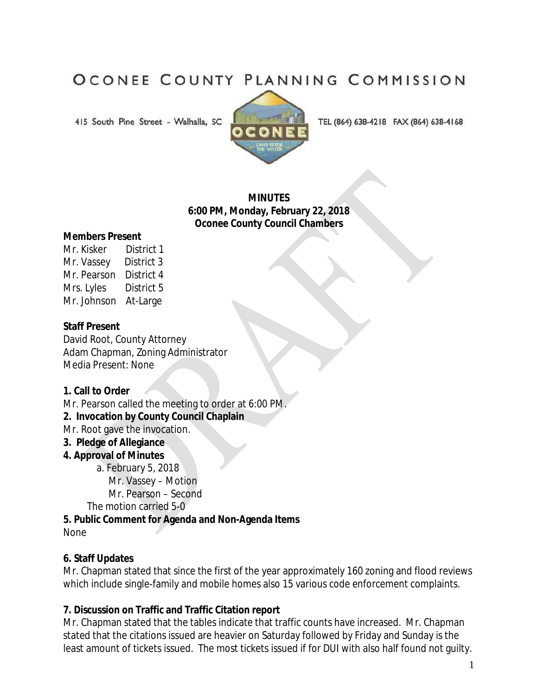# OCONEE COUNTY PLANNING COMMISSION

415 South Pine Street - Walhalla, SC



TEL (864) 638-4218 FAX (864) 638-4168

## **MINUTES 6:00 PM, Monday, February 22, 2018 Oconee County Council Chambers**

#### **Members Present**

| Mr. Kisker  | District 1 |
|-------------|------------|
| Mr. Vassey  | District 3 |
| Mr. Pearson | District 4 |
| Mrs. Lyles  | District 5 |
| Mr. Johnson | At-Large   |

## **Staff Present**

David Root, County Attorney Adam Chapman, Zoning Administrator Media Present: None

## **1. Call to Order**

Mr. Pearson called the meeting to order at 6:00 PM.

**2. Invocation by County Council Chaplain**

Mr. Root gave the invocation.

## **3. Pledge of Allegiance**

## **4. Approval of Minutes**

a. February 5, 2018

Mr. Vassey – Motion

Mr. Pearson – Second

The motion carried 5-0

**5. Public Comment for Agenda and Non-Agenda Items** 

None

## **6. Staff Updates**

Mr. Chapman stated that since the first of the year approximately 160 zoning and flood reviews which include single-family and mobile homes also 15 various code enforcement complaints.

## **7. Discussion on Traffic and Traffic Citation report**

Mr. Chapman stated that the tables indicate that traffic counts have increased. Mr. Chapman stated that the citations issued are heavier on Saturday followed by Friday and Sunday is the least amount of tickets issued. The most tickets issued if for DUI with also half found not guilty.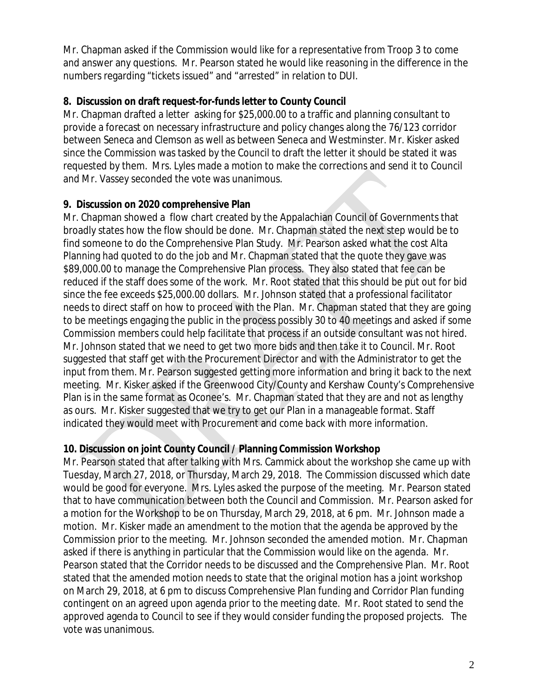Mr. Chapman asked if the Commission would like for a representative from Troop 3 to come and answer any questions. Mr. Pearson stated he would like reasoning in the difference in the numbers regarding "tickets issued" and "arrested" in relation to DUI.

# **8. Discussion on draft request-for-funds letter to County Council**

Mr. Chapman drafted a letter asking for \$25,000.00 to a traffic and planning consultant to provide a forecast on necessary infrastructure and policy changes along the 76/123 corridor between Seneca and Clemson as well as between Seneca and Westminster. Mr. Kisker asked since the Commission was tasked by the Council to draft the letter it should be stated it was requested by them. Mrs. Lyles made a motion to make the corrections and send it to Council and Mr. Vassey seconded the vote was unanimous.

# **9. Discussion on 2020 comprehensive Plan**

Mr. Chapman showed a flow chart created by the Appalachian Council of Governments that broadly states how the flow should be done. Mr. Chapman stated the next step would be to find someone to do the Comprehensive Plan Study. Mr. Pearson asked what the cost Alta Planning had quoted to do the job and Mr. Chapman stated that the quote they gave was \$89,000.00 to manage the Comprehensive Plan process. They also stated that fee can be reduced if the staff does some of the work. Mr. Root stated that this should be put out for bid since the fee exceeds \$25,000.00 dollars. Mr. Johnson stated that a professional facilitator needs to direct staff on how to proceed with the Plan. Mr. Chapman stated that they are going to be meetings engaging the public in the process possibly 30 to 40 meetings and asked if some Commission members could help facilitate that process if an outside consultant was not hired. Mr. Johnson stated that we need to get two more bids and then take it to Council. Mr. Root suggested that staff get with the Procurement Director and with the Administrator to get the input from them. Mr. Pearson suggested getting more information and bring it back to the next meeting. Mr. Kisker asked if the Greenwood City/County and Kershaw County's Comprehensive Plan is in the same format as Oconee's. Mr. Chapman stated that they are and not as lengthy as ours. Mr. Kisker suggested that we try to get our Plan in a manageable format. Staff indicated they would meet with Procurement and come back with more information.

# **10. Discussion on joint County Council / Planning Commission Workshop**

Mr. Pearson stated that after talking with Mrs. Cammick about the workshop she came up with Tuesday, March 27, 2018, or Thursday, March 29, 2018. The Commission discussed which date would be good for everyone. Mrs. Lyles asked the purpose of the meeting. Mr. Pearson stated that to have communication between both the Council and Commission. Mr. Pearson asked for a motion for the Workshop to be on Thursday, March 29, 2018, at 6 pm. Mr. Johnson made a motion. Mr. Kisker made an amendment to the motion that the agenda be approved by the Commission prior to the meeting. Mr. Johnson seconded the amended motion. Mr. Chapman asked if there is anything in particular that the Commission would like on the agenda. Mr. Pearson stated that the Corridor needs to be discussed and the Comprehensive Plan. Mr. Root stated that the amended motion needs to state that the original motion has a joint workshop on March 29, 2018, at 6 pm to discuss Comprehensive Plan funding and Corridor Plan funding contingent on an agreed upon agenda prior to the meeting date. Mr. Root stated to send the approved agenda to Council to see if they would consider funding the proposed projects. The vote was unanimous.